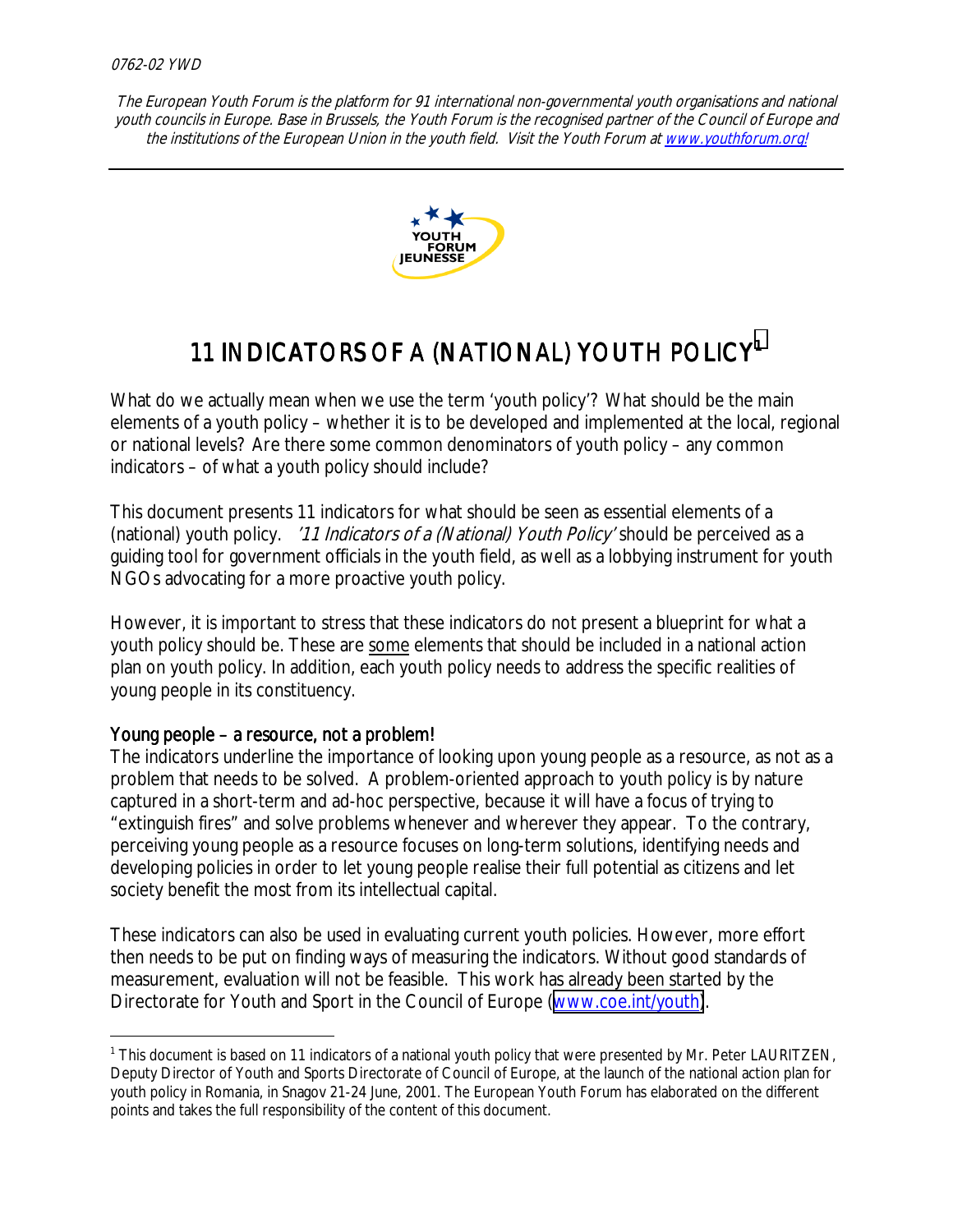

# 11 INDICATORS OF A (NATIONAL) YOUTH POLICY1

What do we actually mean when we use the term 'youth policy'? What should be the main elements of a youth policy – whether it is to be developed and implemented at the local, regional or national levels? Are there some common denominators of youth policy – any common indicators – of what a youth policy should include?

This document presents 11 indicators for what should be seen as essential elements of a (national) youth policy. '11 Indicators of a (National) Youth Policy' should be perceived as a guiding tool for government officials in the youth field, as well as a lobbying instrument for youth NGOs advocating for a more proactive youth policy.

However, it is important to stress that these indicators do not present a blueprint for what a youth policy should be. These are some elements that should be included in a national action plan on youth policy. In addition, each youth policy needs to address the specific realities of young people in its constituency.

#### Young people – a resource, not a problem!

 $\overline{a}$ 

The indicators underline the importance of looking upon young people as a resource, as not as a problem that needs to be solved. A problem-oriented approach to youth policy is by nature captured in a short-term and ad-hoc perspective, because it will have a focus of trying to "extinguish fires" and solve problems whenever and wherever they appear. To the contrary, perceiving young people as a resource focuses on long-term solutions, identifying needs and developing policies in order to let young people realise their full potential as citizens and let society benefit the most from its intellectual capital.

These indicators can also be used in evaluating current youth policies. However, more effort then needs to be put on finding ways of measuring the indicators. Without good standards of measurement, evaluation will not be feasible. This work has already been started by the Directorate for Youth and Sport in the Council of Europe ([www.coe.int/youth\)](http://www.coe.int/youth).

<sup>&</sup>lt;sup>1</sup> This document is based on 11 indicators of a national youth policy that were presented by Mr. Peter LAURITZEN, Deputy Director of Youth and Sports Directorate of Council of Europe, at the launch of the national action plan for youth policy in Romania, in Snagov 21-24 June, 2001. The European Youth Forum has elaborated on the different points and takes the full responsibility of the content of this document.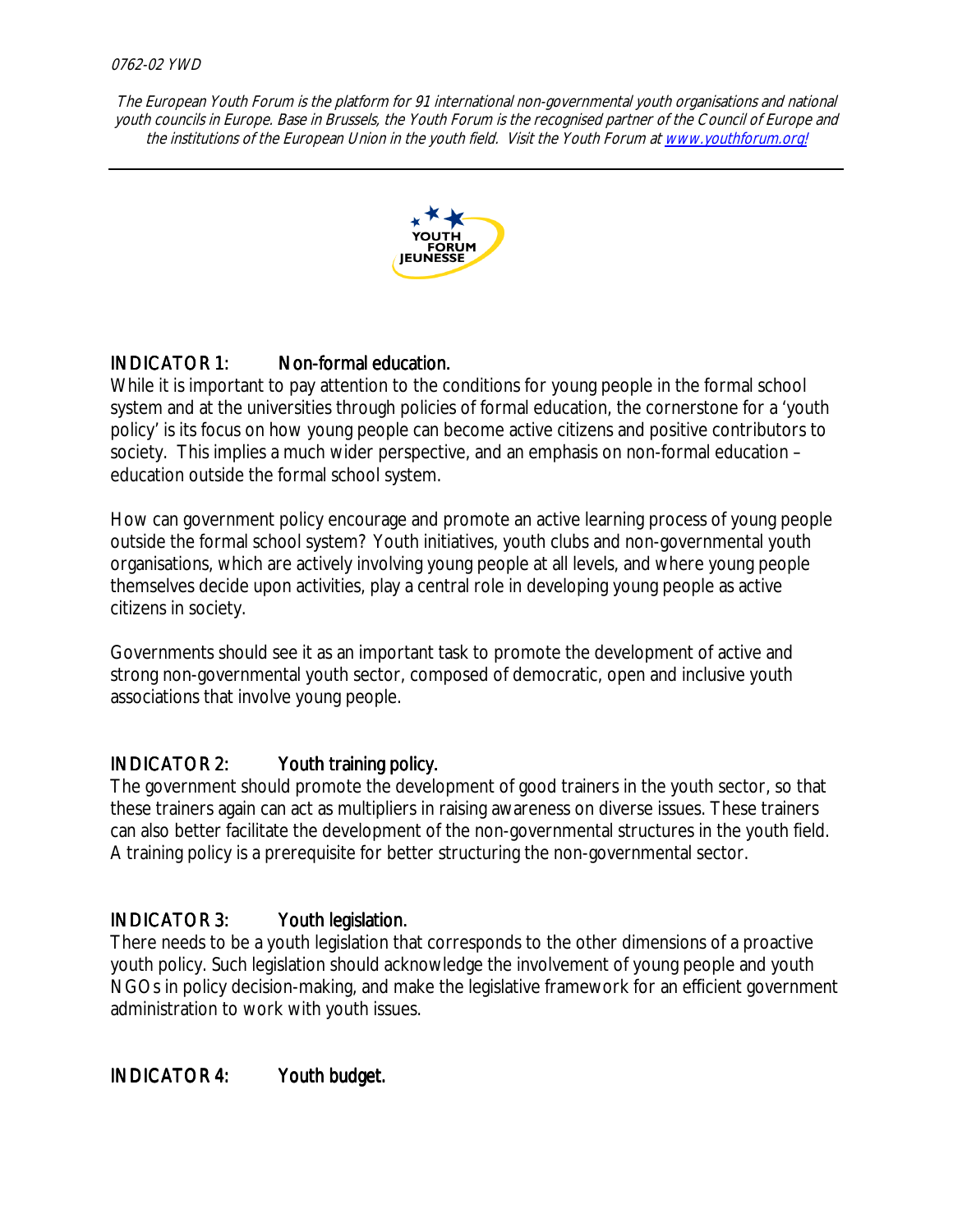

# INDICATOR 1: Non-formal education.

While it is important to pay attention to the conditions for young people in the formal school system and at the universities through policies of formal education, the cornerstone for a 'youth policy' is its focus on how young people can become active citizens and positive contributors to society. This implies a much wider perspective, and an emphasis on non-formal education – education outside the formal school system.

How can government policy encourage and promote an active learning process of young people outside the formal school system? Youth initiatives, youth clubs and non-governmental youth organisations, which are actively involving young people at all levels, and where young people themselves decide upon activities, play a central role in developing young people as active citizens in society.

Governments should see it as an important task to promote the development of active and strong non-governmental youth sector, composed of democratic, open and inclusive youth associations that involve young people.

# INDICATOR 2: Youth training policy.

The government should promote the development of good trainers in the youth sector, so that these trainers again can act as multipliers in raising awareness on diverse issues. These trainers can also better facilitate the development of the non-governmental structures in the youth field. A training policy is a prerequisite for better structuring the non-governmental sector.

# INDICATOR 3: Youth legislation.

There needs to be a youth legislation that corresponds to the other dimensions of a proactive youth policy. Such legislation should acknowledge the involvement of young people and youth NGOs in policy decision-making, and make the legislative framework for an efficient government administration to work with youth issues.

INDICATOR 4: Youth budget.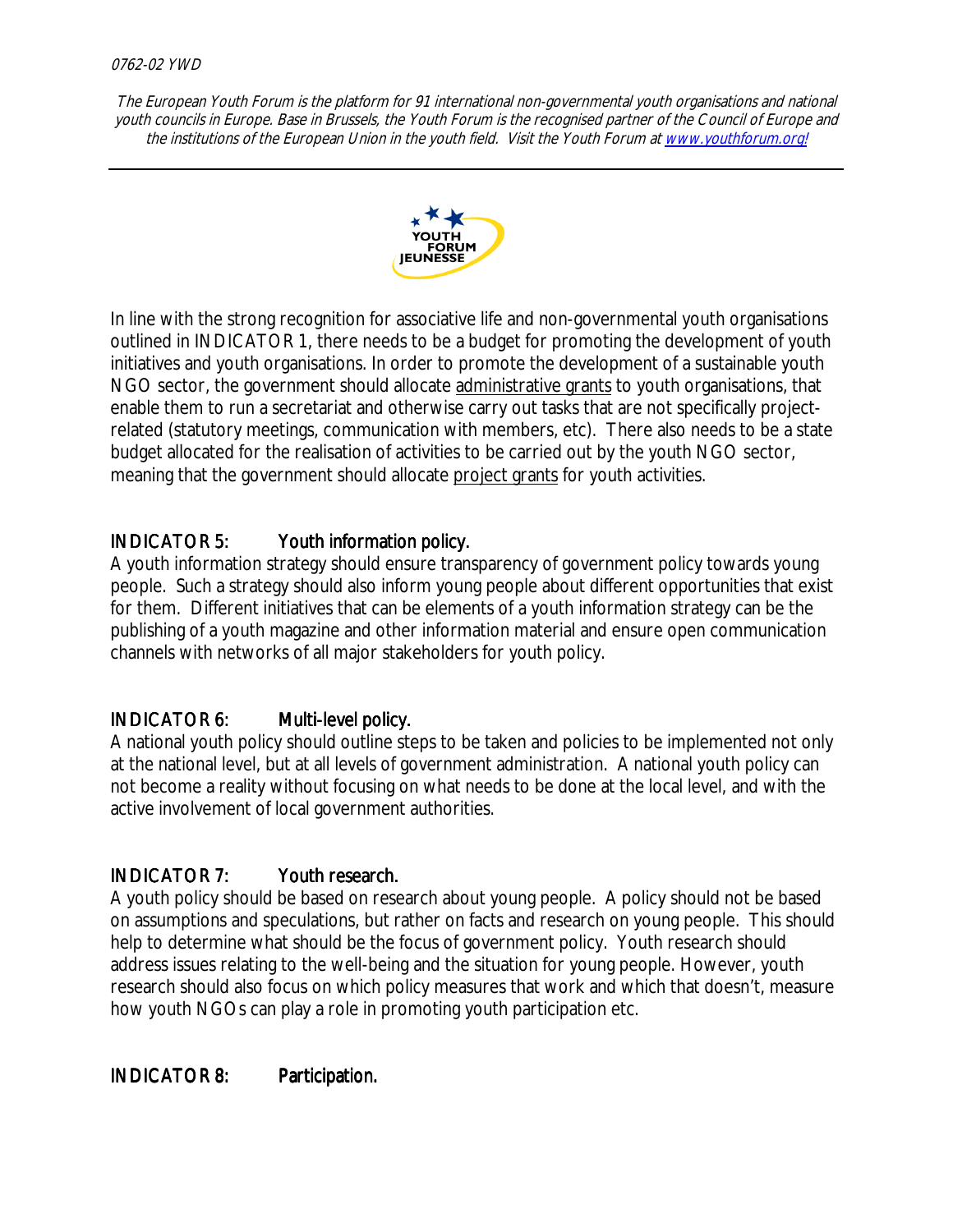

In line with the strong recognition for associative life and non-governmental youth organisations outlined in INDICATOR 1, there needs to be a budget for promoting the development of youth initiatives and youth organisations. In order to promote the development of a sustainable youth NGO sector, the government should allocate administrative grants to youth organisations, that enable them to run a secretariat and otherwise carry out tasks that are not specifically projectrelated (statutory meetings, communication with members, etc). There also needs to be a state budget allocated for the realisation of activities to be carried out by the youth NGO sector, meaning that the government should allocate project grants for youth activities.

# INDICATOR 5: Youth information policy.

A youth information strategy should ensure transparency of government policy towards young people. Such a strategy should also inform young people about different opportunities that exist for them. Different initiatives that can be elements of a youth information strategy can be the publishing of a youth magazine and other information material and ensure open communication channels with networks of all major stakeholders for youth policy.

# INDICATOR 6: Multi-level policy.

A national youth policy should outline steps to be taken and policies to be implemented not only at the national level, but at all levels of government administration. A national youth policy can not become a reality without focusing on what needs to be done at the local level, and with the active involvement of local government authorities.

# INDICATOR 7: Youth research.

A youth policy should be based on research about young people. A policy should not be based on assumptions and speculations, but rather on facts and research on young people. This should help to determine what should be the focus of government policy. Youth research should address issues relating to the well-being and the situation for young people. However, youth research should also focus on which policy measures that work and which that doesn't, measure how youth NGOs can play a role in promoting youth participation etc.

INDICATOR 8: Participation.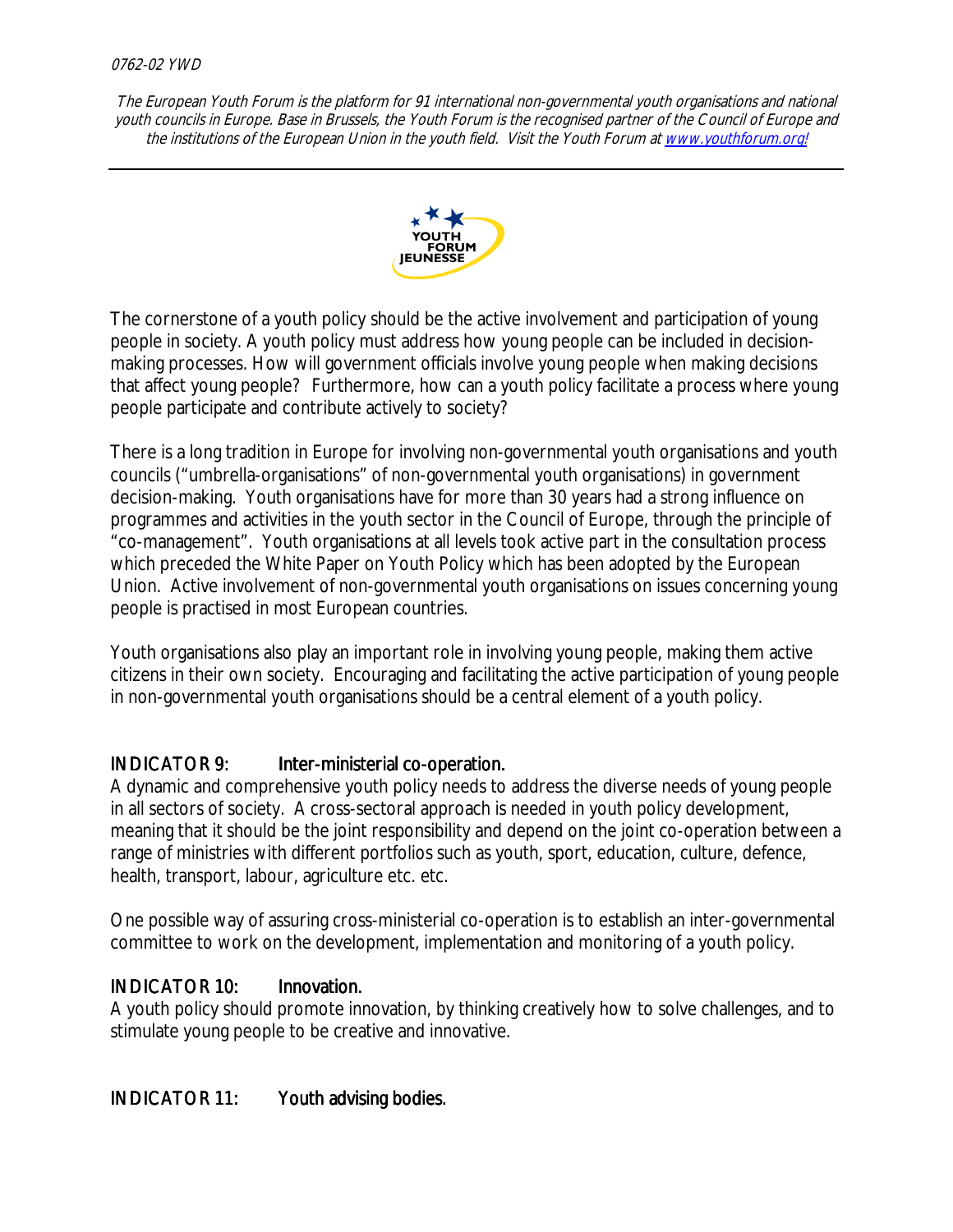#### 0762-02 YWD

The European Youth Forum is the platform for 91 international non-governmental youth organisations and national youth councils in Europe. Base in Brussels, the Youth Forum is the recognised partner of the Council of Europe and the institutions of the European Union in the youth field. Visit the Youth Forum at www.youthforum.org!



The cornerstone of a youth policy should be the active involvement and participation of young people in society. A youth policy must address how young people can be included in decisionmaking processes. How will government officials involve young people when making decisions that affect young people? Furthermore, how can a youth policy facilitate a process where young people participate and contribute actively to society?

There is a long tradition in Europe for involving non-governmental youth organisations and youth councils ("umbrella-organisations" of non-governmental youth organisations) in government decision-making. Youth organisations have for more than 30 years had a strong influence on programmes and activities in the youth sector in the Council of Europe, through the principle of "co-management". Youth organisations at all levels took active part in the consultation process which preceded the White Paper on Youth Policy which has been adopted by the European Union. Active involvement of non-governmental youth organisations on issues concerning young people is practised in most European countries.

Youth organisations also play an important role in involving young people, making them active citizens in their own society. Encouraging and facilitating the active participation of young people in non-governmental youth organisations should be a central element of a youth policy.

#### INDICATOR 9: Inter-ministerial co-operation.

A dynamic and comprehensive youth policy needs to address the diverse needs of young people in all sectors of society. A cross-sectoral approach is needed in youth policy development, meaning that it should be the joint responsibility and depend on the joint co-operation between a range of ministries with different portfolios such as youth, sport, education, culture, defence, health, transport, labour, agriculture etc. etc.

One possible way of assuring cross-ministerial co-operation is to establish an inter-governmental committee to work on the development, implementation and monitoring of a youth policy.

#### INDICATOR 10: Innovation.

A youth policy should promote innovation, by thinking creatively how to solve challenges, and to stimulate young people to be creative and innovative.

#### INDICATOR 11: Youth advising bodies.